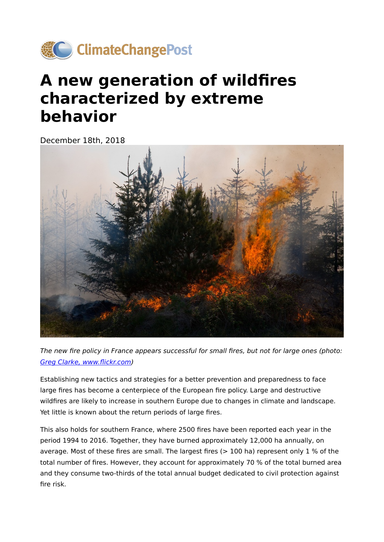

## **A new generation of wildfires characterized by extreme behavior**

December 18th, 2018



The new fire policy in France appears successful for small fires, but not for large ones (photo: [Greg Clarke, www.](https://www.flickr.com/photos/leppre/485528374/in/photolist-JUsES-ayfnFS-8mKsNm-fDr7vs-srT5s3-4UiMM3-fDr7H1-8qiFdM-AS7rZi-eccXWa-fDrcb9-fDrk69-aiBFZZ-fDrjAA-fDr8iA-8S4cuH-9Khc4y-4ALKJy-fD9GU4-8qiE1X-fDr9QU-fDre1o-fD9FJx-dehuhi-dehrFb-ZoDM1w-dehrzb-2bdwoJf-dehuJ8-dehn3C-8BgsCg-dehngj-9U2gdB-H43vF2-dehnwf-dehqjB-PNtw2L-dehuNT-29beym9-8qmMoE-SQDbaR-Q9yJuV-2bdwnKw-dehs68-QbJW7Y-dehr8k-2aQDWFu-2cg9Rhm-29bbSsf-NbkRQ2)flickr.com)

Establishing new tactics and strategies for a better prevention and preparedness to face large fires has become a centerpiece of the European fire policy. Large and destructive wildfires are likely to increase in southern Europe due to changes in climate and landscape. Yet little is known about the return periods of large fires.

This also holds for southern France, where 2500 fires have been reported each year in the period 1994 to 2016. Together, they have burned approximately 12,000 ha annually, on average. Most of these fires are small. The largest fires  $(> 100$  ha) represent only 1 % of the total number of fires. However, they account for approximately 70 % of the total burned area and they consume two-thirds of the total annual budget dedicated to civil protection against fire risk.